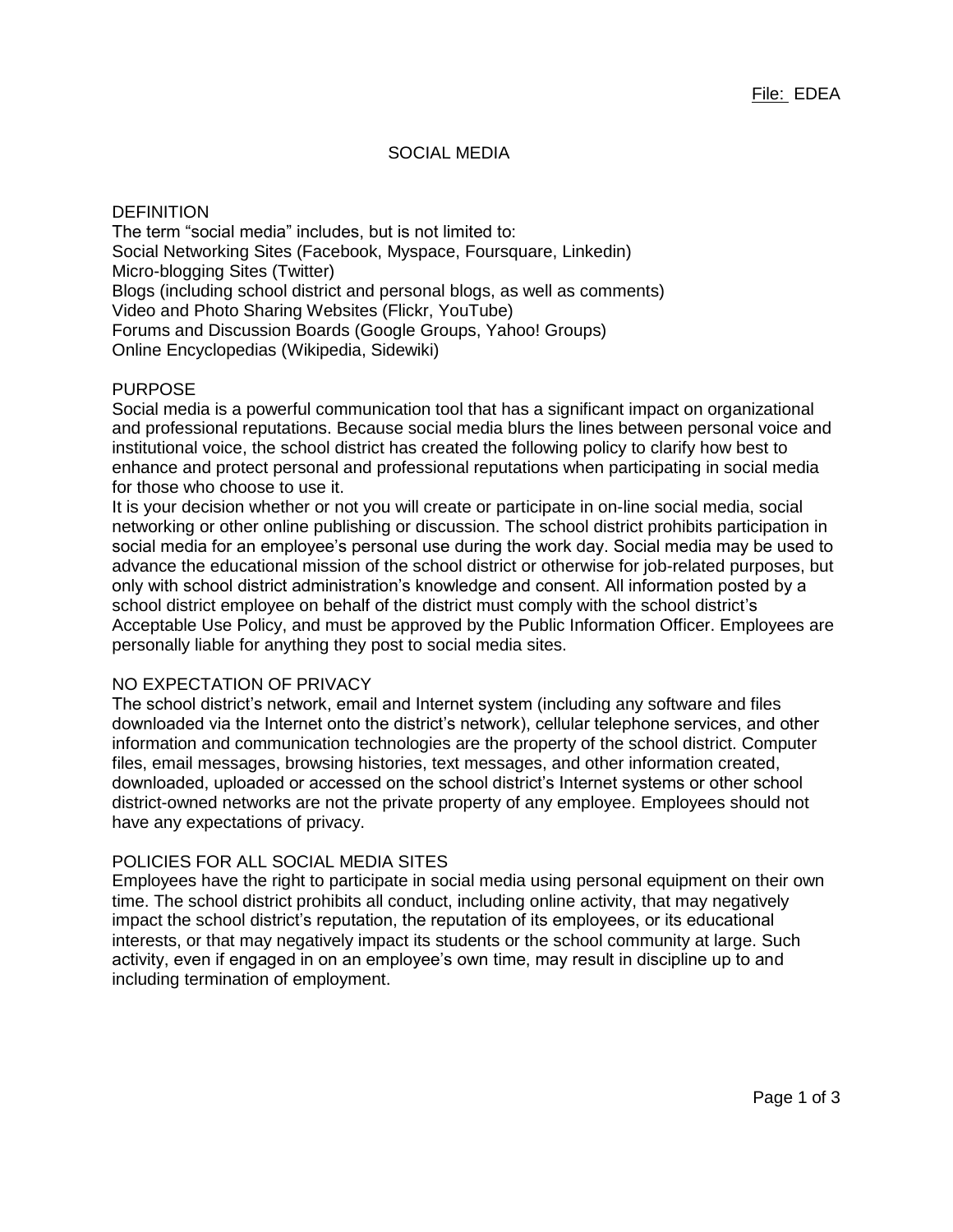# SOCIAL MEDIA

### **DEFINITION**

The term "social media" includes, but is not limited to: Social Networking Sites (Facebook, Myspace, Foursquare, Linkedin) Micro-blogging Sites (Twitter) Blogs (including school district and personal blogs, as well as comments) Video and Photo Sharing Websites (Flickr, YouTube) Forums and Discussion Boards (Google Groups, Yahoo! Groups) Online Encyclopedias (Wikipedia, Sidewiki)

# PURPOSE

Social media is a powerful communication tool that has a significant impact on organizational and professional reputations. Because social media blurs the lines between personal voice and institutional voice, the school district has created the following policy to clarify how best to enhance and protect personal and professional reputations when participating in social media for those who choose to use it.

It is your decision whether or not you will create or participate in on-line social media, social networking or other online publishing or discussion. The school district prohibits participation in social media for an employee's personal use during the work day. Social media may be used to advance the educational mission of the school district or otherwise for job-related purposes, but only with school district administration's knowledge and consent. All information posted by a school district employee on behalf of the district must comply with the school district's Acceptable Use Policy, and must be approved by the Public Information Officer. Employees are personally liable for anything they post to social media sites.

# NO EXPECTATION OF PRIVACY

The school district's network, email and Internet system (including any software and files downloaded via the Internet onto the district's network), cellular telephone services, and other information and communication technologies are the property of the school district. Computer files, email messages, browsing histories, text messages, and other information created, downloaded, uploaded or accessed on the school district's Internet systems or other school district-owned networks are not the private property of any employee. Employees should not have any expectations of privacy.

# POLICIES FOR ALL SOCIAL MEDIA SITES

Employees have the right to participate in social media using personal equipment on their own time. The school district prohibits all conduct, including online activity, that may negatively impact the school district's reputation, the reputation of its employees, or its educational interests, or that may negatively impact its students or the school community at large. Such activity, even if engaged in on an employee's own time, may result in discipline up to and including termination of employment.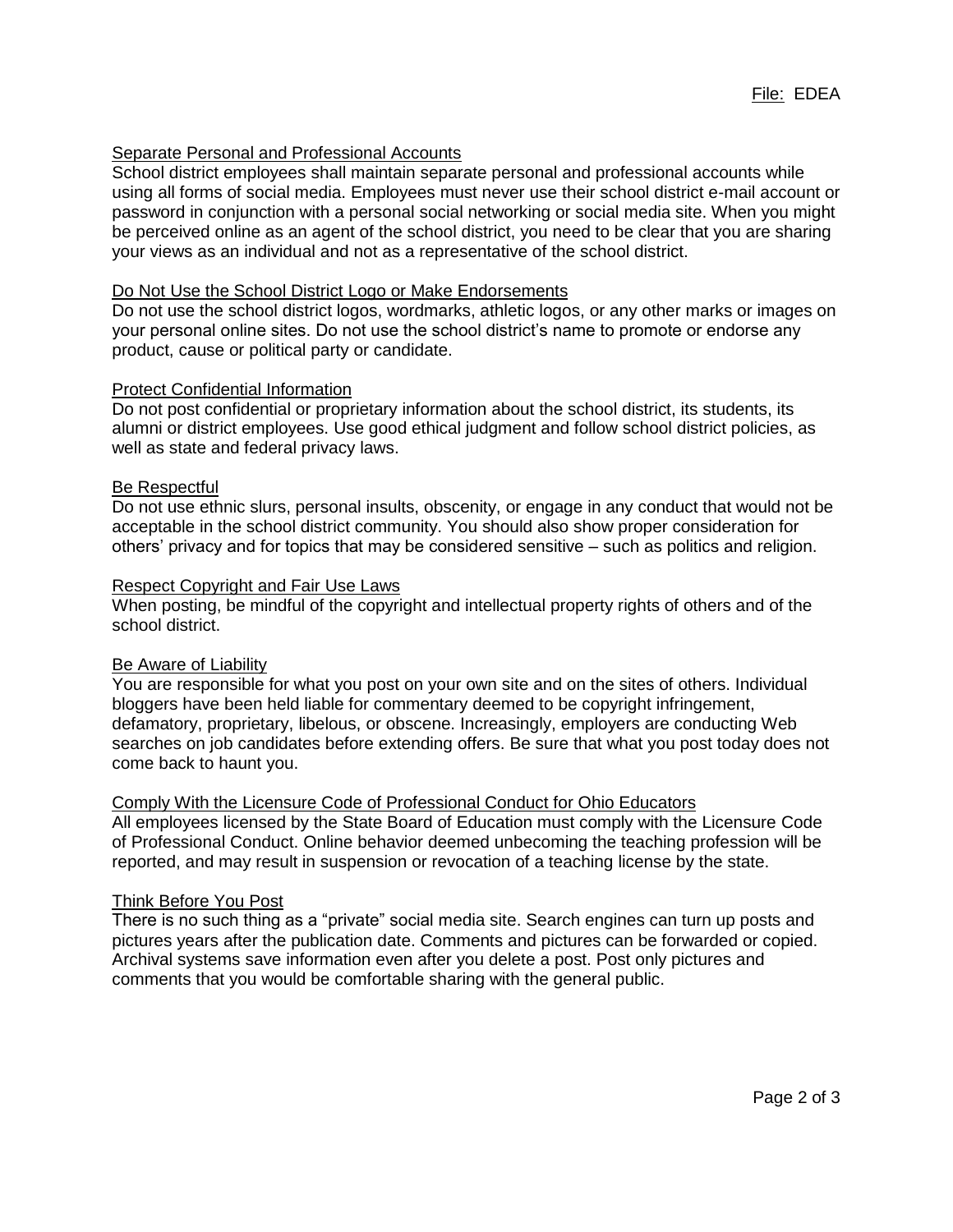# Separate Personal and Professional Accounts

School district employees shall maintain separate personal and professional accounts while using all forms of social media. Employees must never use their school district e-mail account or password in conjunction with a personal social networking or social media site. When you might be perceived online as an agent of the school district, you need to be clear that you are sharing your views as an individual and not as a representative of the school district.

# Do Not Use the School District Logo or Make Endorsements

Do not use the school district logos, wordmarks, athletic logos, or any other marks or images on your personal online sites. Do not use the school district's name to promote or endorse any product, cause or political party or candidate.

#### Protect Confidential Information

Do not post confidential or proprietary information about the school district, its students, its alumni or district employees. Use good ethical judgment and follow school district policies, as well as state and federal privacy laws.

# Be Respectful

Do not use ethnic slurs, personal insults, obscenity, or engage in any conduct that would not be acceptable in the school district community. You should also show proper consideration for others' privacy and for topics that may be considered sensitive – such as politics and religion.

# Respect Copyright and Fair Use Laws

When posting, be mindful of the copyright and intellectual property rights of others and of the school district.

#### **Be Aware of Liability**

You are responsible for what you post on your own site and on the sites of others. Individual bloggers have been held liable for commentary deemed to be copyright infringement, defamatory, proprietary, libelous, or obscene. Increasingly, employers are conducting Web searches on job candidates before extending offers. Be sure that what you post today does not come back to haunt you.

# Comply With the Licensure Code of Professional Conduct for Ohio Educators

All employees licensed by the State Board of Education must comply with the Licensure Code of Professional Conduct. Online behavior deemed unbecoming the teaching profession will be reported, and may result in suspension or revocation of a teaching license by the state.

#### Think Before You Post

There is no such thing as a "private" social media site. Search engines can turn up posts and pictures years after the publication date. Comments and pictures can be forwarded or copied. Archival systems save information even after you delete a post. Post only pictures and comments that you would be comfortable sharing with the general public.